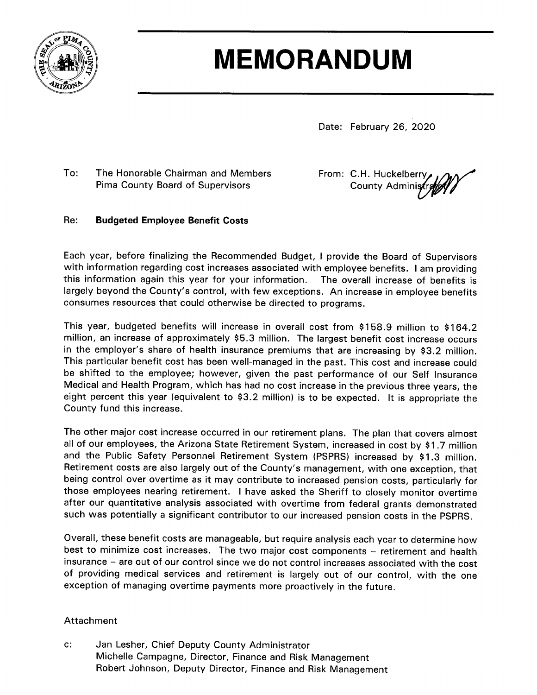

## **MEMORANDUM**

Date: February 26, 2020

To: The Honorable Chairman and Members Pima County Board of Supervisors

From: C.H. Huckelberry County Administ

## Re: **Budgeted Employee Benefit Costs**

Each year, before finalizing the Recommended Budget, I provide the Board of Supervisors with information regarding cost increases associated with employee benefits. I am providing this information again this year for your information. The overall increase of benefits is largely beyond the County's control, with few exceptions. An increase in employee benefits consumes resources that could otherwise be directed to programs.

This year, budgeted benefits will increase in overall cost from \$158.9 million to \$164.2 million, an increase of approximately \$5.3 million. The largest benefit cost increase occurs in the employer's share of health insurance premiums that are increasing by \$3.2 million. This particular benefit cost has been well-managed in the past. This cost and increase could be shifted to the employee; however, given the past performance of our Self Insurance Medical and Health Program, which has had no cost increase in the previous three years, the eight percent this year (equivalent to \$3.2 million) is to be expected. It is appropriate the County fund this increase.

The other major cost increase occurred in our retirement plans. The plan that covers almost all of our employees, the Arizona State Retirement System, increased in cost by \$1.7 million and the Public Safety Personnel Retirement System (PSPRS) increased by \$1.3 million. Retirement costs are also largely out of the County's management, with one exception, that being control over overtime as it may contribute to increased pension costs, particularly for those employees nearing retirement. I have asked the Sheriff to closely monitor overtime after our quantitative analysis associated with overtime from federal grants demonstrated such was potentially a significant contributor to our increased pension costs in the PSPRS.

Overall, these benefit costs are manageable, but require analysis each year to determine how best to minimize cost increases. The two major cost components - retirement and health insurance - are out of our control since we do not control increases associated with the cost of providing medical services and retirement is largely out of our control, with the one exception of managing overtime payments more proactively in the future.

## Attachment

Jan Lesher, Chief Deputy County Administrator  $C$ : Michelle Campagne, Director, Finance and Risk Management Robert Johnson, Deputy Director, Finance and Risk Management